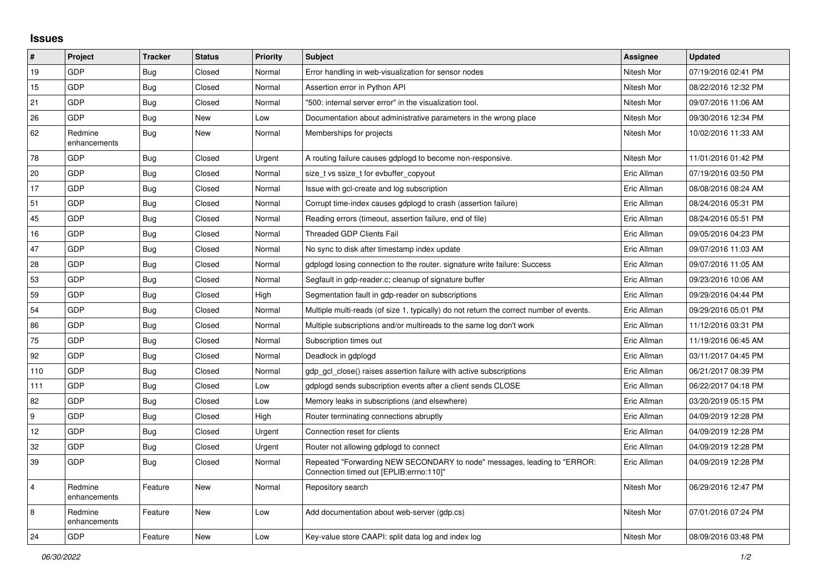## **Issues**

| $\vert$ #        | Project                 | <b>Tracker</b> | <b>Status</b> | <b>Priority</b> | <b>Subject</b>                                                                                                      | Assignee    | <b>Updated</b>      |
|------------------|-------------------------|----------------|---------------|-----------------|---------------------------------------------------------------------------------------------------------------------|-------------|---------------------|
| 19               | GDP                     | Bug            | Closed        | Normal          | Error handling in web-visualization for sensor nodes                                                                | Nitesh Mor  | 07/19/2016 02:41 PM |
| 15               | GDP                     | <b>Bug</b>     | Closed        | Normal          | Assertion error in Python API                                                                                       | Nitesh Mor  | 08/22/2016 12:32 PM |
| 21               | GDP                     | <b>Bug</b>     | Closed        | Normal          | "500: internal server error" in the visualization tool.                                                             | Nitesh Mor  | 09/07/2016 11:06 AM |
| 26               | <b>GDP</b>              | Bug            | New           | Low             | Documentation about administrative parameters in the wrong place                                                    | Nitesh Mor  | 09/30/2016 12:34 PM |
| 62               | Redmine<br>enhancements | Bug            | New           | Normal          | Memberships for projects                                                                                            | Nitesh Mor  | 10/02/2016 11:33 AM |
| 78               | GDP                     | Bug            | Closed        | Urgent          | A routing failure causes gdplogd to become non-responsive.                                                          | Nitesh Mor  | 11/01/2016 01:42 PM |
| 20               | GDP                     | <b>Bug</b>     | Closed        | Normal          | size t vs ssize t for evbuffer copyout                                                                              | Eric Allman | 07/19/2016 03:50 PM |
| 17               | GDP                     | <b>Bug</b>     | Closed        | Normal          | Issue with gcl-create and log subscription                                                                          | Eric Allman | 08/08/2016 08:24 AM |
| 51               | <b>GDP</b>              | <b>Bug</b>     | Closed        | Normal          | Corrupt time-index causes gdplogd to crash (assertion failure)                                                      | Eric Allman | 08/24/2016 05:31 PM |
| 45               | GDP                     | Bug            | Closed        | Normal          | Reading errors (timeout, assertion failure, end of file)                                                            | Eric Allman | 08/24/2016 05:51 PM |
| 16               | GDP                     | Bug            | Closed        | Normal          | <b>Threaded GDP Clients Fail</b>                                                                                    | Eric Allman | 09/05/2016 04:23 PM |
| 47               | <b>GDP</b>              | <b>Bug</b>     | Closed        | Normal          | No sync to disk after timestamp index update                                                                        | Eric Allman | 09/07/2016 11:03 AM |
| 28               | GDP                     | <b>Bug</b>     | Closed        | Normal          | gdplogd losing connection to the router. signature write failure: Success                                           | Eric Allman | 09/07/2016 11:05 AM |
| 53               | GDP                     | <b>Bug</b>     | Closed        | Normal          | Segfault in gdp-reader.c; cleanup of signature buffer                                                               | Eric Allman | 09/23/2016 10:06 AM |
| 59               | GDP                     | Bug            | Closed        | High            | Segmentation fault in gdp-reader on subscriptions                                                                   | Eric Allman | 09/29/2016 04:44 PM |
| 54               | GDP                     | <b>Bug</b>     | Closed        | Normal          | Multiple multi-reads (of size 1, typically) do not return the correct number of events.                             | Eric Allman | 09/29/2016 05:01 PM |
| 86               | GDP                     | <b>Bug</b>     | Closed        | Normal          | Multiple subscriptions and/or multireads to the same log don't work                                                 | Eric Allman | 11/12/2016 03:31 PM |
| 75               | GDP                     | Bug            | Closed        | Normal          | Subscription times out                                                                                              | Eric Allman | 11/19/2016 06:45 AM |
| 92               | <b>GDP</b>              | <b>Bug</b>     | Closed        | Normal          | Deadlock in gdplogd                                                                                                 | Eric Allman | 03/11/2017 04:45 PM |
| 110              | GDP                     | <b>Bug</b>     | Closed        | Normal          | gdp gcl close() raises assertion failure with active subscriptions                                                  | Eric Allman | 06/21/2017 08:39 PM |
| 111              | GDP                     | <b>Bug</b>     | Closed        | Low             | gdplogd sends subscription events after a client sends CLOSE                                                        | Eric Allman | 06/22/2017 04:18 PM |
| 82               | <b>GDP</b>              | <b>Bug</b>     | Closed        | Low             | Memory leaks in subscriptions (and elsewhere)                                                                       | Eric Allman | 03/20/2019 05:15 PM |
| $\boldsymbol{9}$ | GDP                     | Bug            | Closed        | High            | Router terminating connections abruptly                                                                             | Eric Allman | 04/09/2019 12:28 PM |
| 12               | GDP                     | <b>Bug</b>     | Closed        | Urgent          | Connection reset for clients                                                                                        | Eric Allman | 04/09/2019 12:28 PM |
| 32               | <b>GDP</b>              | <b>Bug</b>     | Closed        | Urgent          | Router not allowing gdplogd to connect                                                                              | Eric Allman | 04/09/2019 12:28 PM |
| 39               | GDP                     | <b>Bug</b>     | Closed        | Normal          | Repeated "Forwarding NEW SECONDARY to node" messages, leading to "ERROR:<br>Connection timed out [EPLIB:errno:110]" | Eric Allman | 04/09/2019 12:28 PM |
| $\overline{4}$   | Redmine<br>enhancements | Feature        | <b>New</b>    | Normal          | Repository search                                                                                                   | Nitesh Mor  | 06/29/2016 12:47 PM |
| 8                | Redmine<br>enhancements | Feature        | New           | Low             | Add documentation about web-server (gdp.cs)                                                                         | Nitesh Mor  | 07/01/2016 07:24 PM |
| 24               | GDP                     | Feature        | New           | Low             | Key-value store CAAPI: split data log and index log                                                                 | Nitesh Mor  | 08/09/2016 03:48 PM |